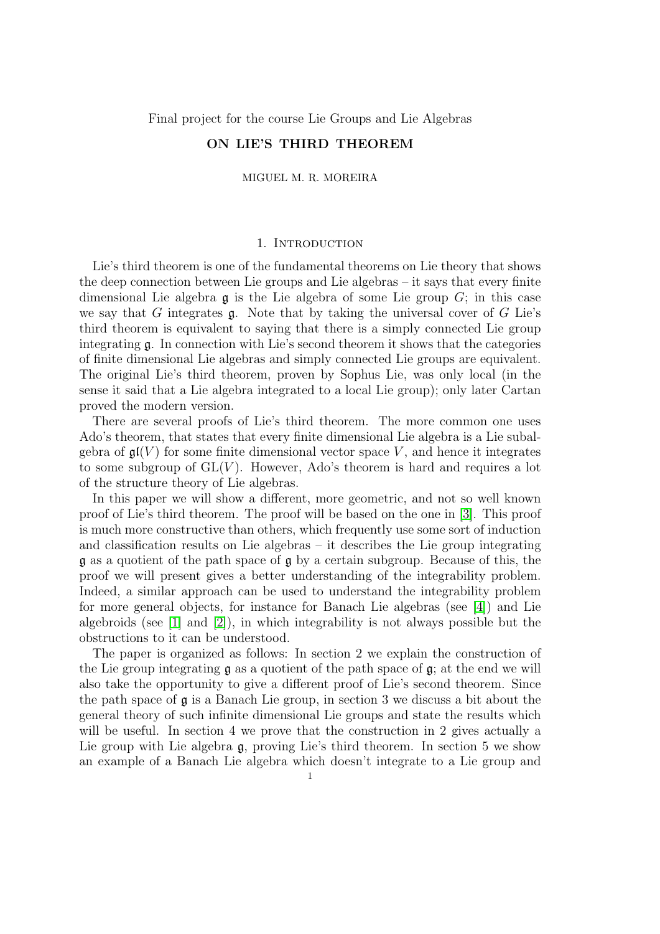Final project for the course Lie Groups and Lie Algebras

# ON LIE'S THIRD THEOREM

MIGUEL M. R. MOREIRA

## 1. INTRODUCTION

Lie's third theorem is one of the fundamental theorems on Lie theory that shows the deep connection between Lie groups and Lie algebras – it says that every finite dimensional Lie algebra  $\mathfrak g$  is the Lie algebra of some Lie group  $G$ ; in this case we say that G integrates  $\mathfrak g$ . Note that by taking the universal cover of G Lie's third theorem is equivalent to saying that there is a simply connected Lie group integrating g. In connection with Lie's second theorem it shows that the categories of finite dimensional Lie algebras and simply connected Lie groups are equivalent. The original Lie's third theorem, proven by Sophus Lie, was only local (in the sense it said that a Lie algebra integrated to a local Lie group); only later Cartan proved the modern version.

There are several proofs of Lie's third theorem. The more common one uses Ado's theorem, that states that every finite dimensional Lie algebra is a Lie subalgebra of  $\mathfrak{gl}(V)$  for some finite dimensional vector space V, and hence it integrates to some subgroup of  $GL(V)$ . However, Ado's theorem is hard and requires a lot of the structure theory of Lie algebras.

In this paper we will show a different, more geometric, and not so well known proof of Lie's third theorem. The proof will be based on the one in [\[3\]](#page-13-0). This proof is much more constructive than others, which frequently use some sort of induction and classification results on Lie algebras – it describes the Lie group integrating g as a quotient of the path space of g by a certain subgroup. Because of this, the proof we will present gives a better understanding of the integrability problem. Indeed, a similar approach can be used to understand the integrability problem for more general objects, for instance for Banach Lie algebras (see [\[4\]](#page-13-1)) and Lie algebroids (see  $[1]$  and  $[2]$ ), in which integrability is not always possible but the obstructions to it can be understood.

The paper is organized as follows: In section 2 we explain the construction of the Lie group integrating  $\mathfrak g$  as a quotient of the path space of  $\mathfrak g$ ; at the end we will also take the opportunity to give a different proof of Lie's second theorem. Since the path space of  $\mathfrak g$  is a Banach Lie group, in section 3 we discuss a bit about the general theory of such infinite dimensional Lie groups and state the results which will be useful. In section 4 we prove that the construction in 2 gives actually a Lie group with Lie algebra g, proving Lie's third theorem. In section 5 we show an example of a Banach Lie algebra which doesn't integrate to a Lie group and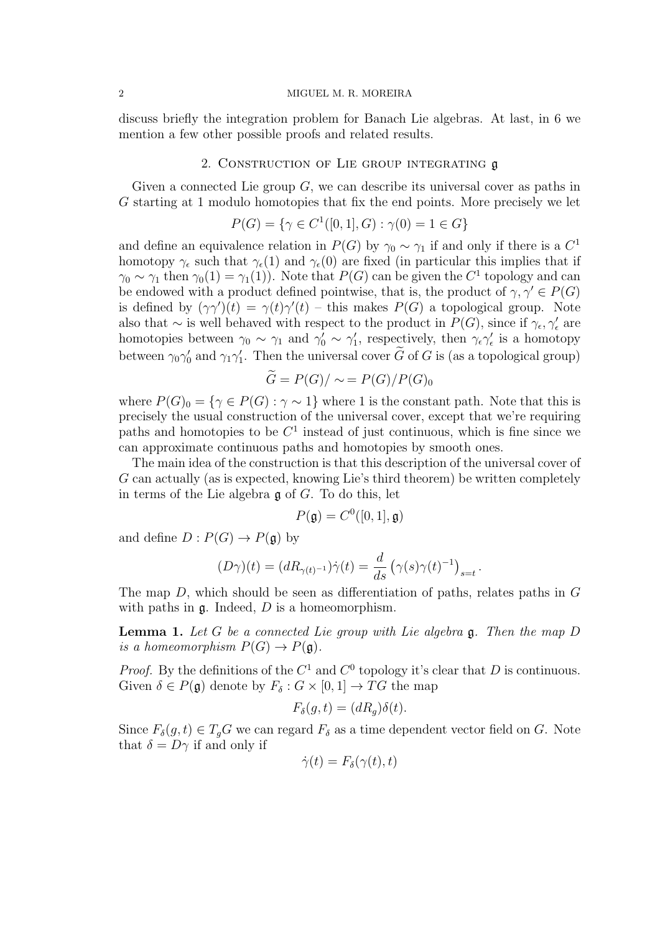discuss briefly the integration problem for Banach Lie algebras. At last, in 6 we mention a few other possible proofs and related results.

## 2. Construction of Lie group integrating g

Given a connected Lie group  $G$ , we can describe its universal cover as paths in G starting at 1 modulo homotopies that fix the end points. More precisely we let

$$
P(G) = \{ \gamma \in C^1([0, 1], G) : \gamma(0) = 1 \in G \}
$$

and define an equivalence relation in  $P(G)$  by  $\gamma_0 \sim \gamma_1$  if and only if there is a  $C^1$ homotopy  $\gamma_{\epsilon}$  such that  $\gamma_{\epsilon}(1)$  and  $\gamma_{\epsilon}(0)$  are fixed (in particular this implies that if  $\gamma_0 \sim \gamma_1$  then  $\gamma_0(1) = \gamma_1(1)$ . Note that  $P(G)$  can be given the  $C^1$  topology and can be endowed with a product defined pointwise, that is, the product of  $\gamma, \gamma' \in P(G)$ is defined by  $(\gamma\gamma')(t) = \gamma(t)\gamma'(t)$  – this makes  $P(G)$  a topological group. Note also that  $\sim$  is well behaved with respect to the product in  $P(G)$ , since if  $\gamma_{\epsilon}, \gamma_{\epsilon}'$  are homotopies between  $\gamma_0 \sim \gamma_1$  and  $\gamma'_0 \sim \gamma'_1$ , respectively, then  $\gamma_\epsilon \gamma'_\epsilon$  is a homotopy between  $\gamma_0 \gamma_0'$  and  $\gamma_1 \gamma_1'$ . Then the universal cover  $\tilde{G}$  of G is (as a topological group)

$$
G = P(G)/\sim = P(G)/P(G)_0
$$

where  $P(G)_0 = \{ \gamma \in P(G) : \gamma \sim 1 \}$  where 1 is the constant path. Note that this is precisely the usual construction of the universal cover, except that we're requiring paths and homotopies to be  $C<sup>1</sup>$  instead of just continuous, which is fine since we can approximate continuous paths and homotopies by smooth ones.

The main idea of the construction is that this description of the universal cover of G can actually (as is expected, knowing Lie's third theorem) be written completely in terms of the Lie algebra  $\mathfrak g$  of G. To do this, let

$$
P(\mathfrak{g}) = C^0([0,1], \mathfrak{g})
$$

and define  $D: P(G) \to P(\mathfrak{g})$  by

$$
(D\gamma)(t) = (dR_{\gamma(t)^{-1}})\dot{\gamma}(t) = \frac{d}{ds}(\gamma(s)\gamma(t)^{-1})_{s=t}.
$$

The map  $D$ , which should be seen as differentiation of paths, relates paths in  $G$ with paths in  $\mathfrak g$ . Indeed,  $D$  is a homeomorphism.

**Lemma 1.** Let G be a connected Lie group with Lie algebra  $\mathfrak{g}$ . Then the map D is a homeomorphism  $P(G) \to P(\mathfrak{g})$ .

*Proof.* By the definitions of the  $C^1$  and  $C^0$  topology it's clear that D is continuous. Given  $\delta \in P(\mathfrak{g})$  denote by  $F_{\delta}: G \times [0,1] \to TG$  the map

$$
F_{\delta}(g,t) = (dR_g)\delta(t).
$$

Since  $F_{\delta}(g, t) \in T_qG$  we can regard  $F_{\delta}$  as a time dependent vector field on G. Note that  $\delta = D\gamma$  if and only if

$$
\dot{\gamma}(t) = F_{\delta}(\gamma(t), t)
$$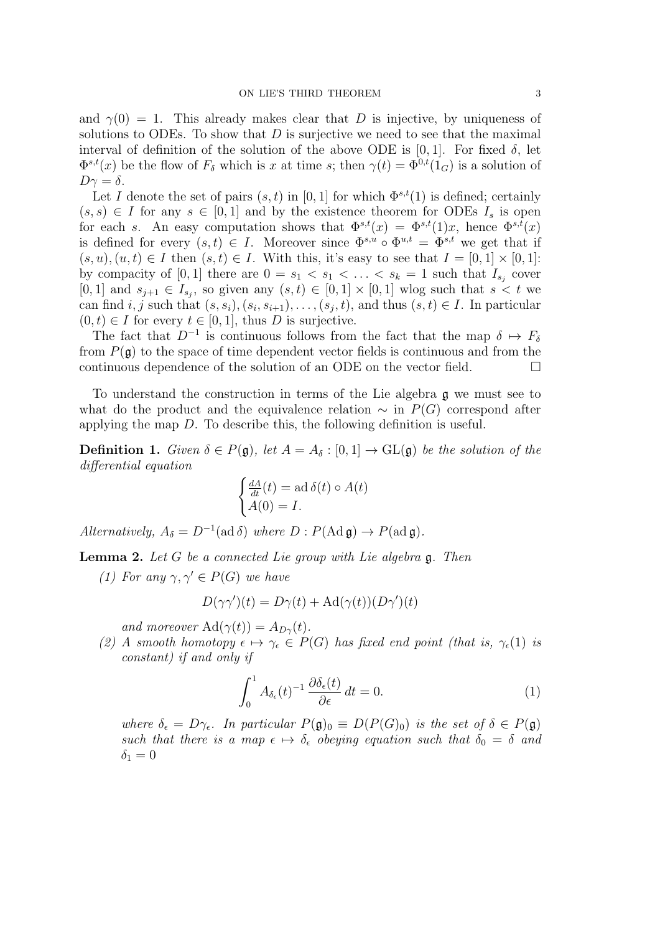and  $\gamma(0) = 1$ . This already makes clear that D is injective, by uniqueness of solutions to ODEs. To show that  $D$  is surjective we need to see that the maximal interval of definition of the solution of the above ODE is [0, 1]. For fixed  $\delta$ , let  $\Phi^{s,t}(x)$  be the flow of  $F_\delta$  which is x at time s; then  $\gamma(t) = \Phi^{0,t}(1_G)$  is a solution of  $D\gamma = \delta$ .

Let I denote the set of pairs  $(s, t)$  in [0, 1] for which  $\Phi^{s,t}(1)$  is defined; certainly  $(s, s) \in I$  for any  $s \in [0, 1]$  and by the existence theorem for ODEs  $I_s$  is open for each s. An easy computation shows that  $\Phi^{s,t}(x) = \Phi^{s,t}(1)x$ , hence  $\Phi^{s,t}(x)$ is defined for every  $(s, t) \in I$ . Moreover since  $\Phi^{s,u} \circ \Phi^{u,t} = \Phi^{s,t}$  we get that if  $(s, u), (u, t) \in I$  then  $(s, t) \in I$ . With this, it's easy to see that  $I = [0, 1] \times [0, 1]$ : by compacity of [0, 1] there are  $0 = s_1 < s_1 < \ldots < s_k = 1$  such that  $I_{s_j}$  cover [0, 1] and  $s_{j+1} \in I_{s_j}$ , so given any  $(s,t) \in [0,1] \times [0,1]$  wlog such that  $s < t$  we can find  $i, j$  such that  $(s, s_i), (s_i, s_{i+1}), \ldots, (s_j, t)$ , and thus  $(s, t) \in I$ . In particular  $(0, t) \in I$  for every  $t \in [0, 1]$ , thus D is surjective.

The fact that  $D^{-1}$  is continuous follows from the fact that the map  $\delta \mapsto F_{\delta}$ from  $P(\mathfrak{g})$  to the space of time dependent vector fields is continuous and from the continuous dependence of the solution of an ODE on the vector field.  $\Box$ 

To understand the construction in terms of the Lie algebra g we must see to what do the product and the equivalence relation  $\sim$  in  $P(G)$  correspond after applying the map D. To describe this, the following definition is useful.

**Definition 1.** Given  $\delta \in P(\mathfrak{g})$ , let  $A = A_{\delta} : [0,1] \to GL(\mathfrak{g})$  be the solution of the differential equation

$$
\begin{cases} \frac{dA}{dt}(t) = \text{ad }\delta(t) \circ A(t) \\ A(0) = I. \end{cases}
$$

Alternatively,  $A_{\delta} = D^{-1}(\text{ad }\delta)$  where  $D : P(\text{Ad } \mathfrak{g}) \to P(\text{ad } \mathfrak{g}).$ 

**Lemma 2.** Let G be a connected Lie group with Lie algebra  $\mathfrak{g}$ . Then

(1) For any  $\gamma, \gamma' \in P(G)$  we have

$$
D(\gamma\gamma')(t) = D\gamma(t) + \text{Ad}(\gamma(t))(D\gamma')(t)
$$

and moreover  $\text{Ad}(\gamma(t)) = A_{D\gamma}(t)$ .

(2) A smooth homotopy  $\epsilon \mapsto \gamma_{\epsilon} \in P(G)$  has fixed end point (that is,  $\gamma_{\epsilon}(1)$  is constant) if and only if

<span id="page-2-0"></span>
$$
\int_0^1 A_{\delta_{\epsilon}}(t)^{-1} \frac{\partial \delta_{\epsilon}(t)}{\partial \epsilon} dt = 0.
$$
 (1)

where  $\delta_{\epsilon} = D\gamma_{\epsilon}$ . In particular  $P(\mathfrak{g})_0 \equiv D(P(G)_0)$  is the set of  $\delta \in P(\mathfrak{g})$ such that there is a map  $\epsilon \mapsto \delta_{\epsilon}$  obeying equation such that  $\delta_0 = \delta$  and  $\delta_1 = 0$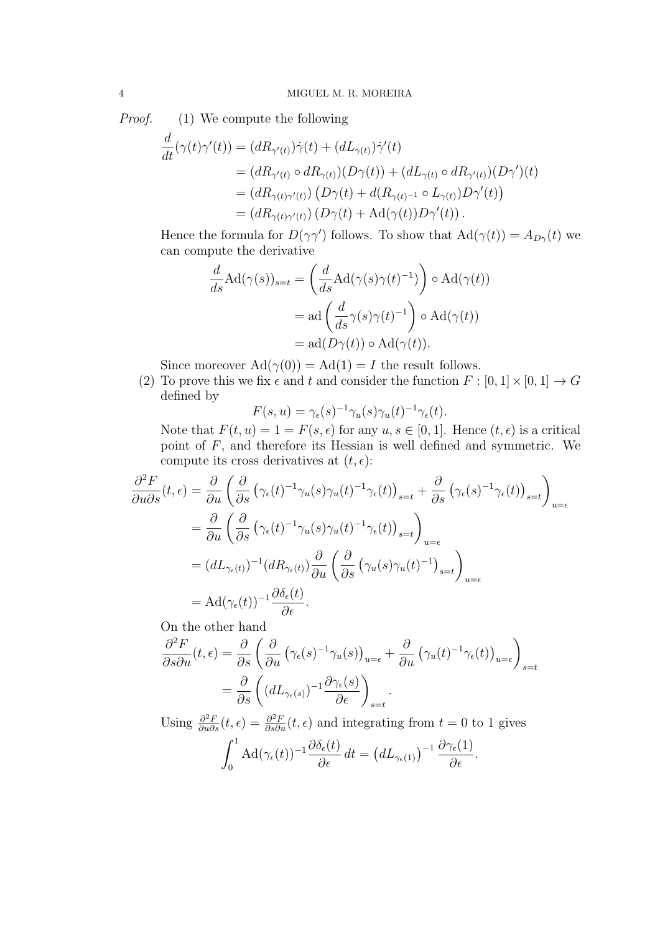*Proof.* (1) We compute the following

$$
\frac{d}{dt}(\gamma(t)\gamma'(t)) = (dR_{\gamma'(t)})\dot{\gamma}(t) + (dL_{\gamma(t)})\dot{\gamma}'(t)
$$
\n
$$
= (dR_{\gamma'(t)} \circ dR_{\gamma(t)})(D\gamma(t)) + (dL_{\gamma(t)} \circ dR_{\gamma'(t)})(D\gamma')(t)
$$
\n
$$
= (dR_{\gamma(t)\gamma'(t)}) (D\gamma(t) + d(R_{\gamma(t)^{-1}} \circ L_{\gamma(t)})D\gamma'(t))
$$
\n
$$
= (dR_{\gamma(t)\gamma'(t)}) (D\gamma(t) + Ad(\gamma(t))D\gamma'(t)).
$$

Hence the formula for  $D(\gamma\gamma')$  follows. To show that  $\text{Ad}(\gamma(t)) = A_{D\gamma}(t)$  we can compute the derivative

$$
\frac{d}{ds} \text{Ad}(\gamma(s))_{s=t} = \left(\frac{d}{ds} \text{Ad}(\gamma(s)\gamma(t)^{-1})\right) \circ \text{Ad}(\gamma(t))
$$

$$
= \text{ad}\left(\frac{d}{ds}\gamma(s)\gamma(t)^{-1}\right) \circ \text{Ad}(\gamma(t))
$$

$$
= \text{ad}(D\gamma(t)) \circ \text{Ad}(\gamma(t)).
$$

Since moreover  $\text{Ad}(\gamma(0)) = \text{Ad}(1) = I$  the result follows.

(2) To prove this we fix  $\epsilon$  and  $t$  and consider the function  $F : [0, 1] \times [0, 1] \rightarrow G$ defined by

$$
F(s, u) = \gamma_{\epsilon}(s)^{-1} \gamma_u(s) \gamma_u(t)^{-1} \gamma_{\epsilon}(t).
$$

Note that  $F(t, u) = 1 = F(s, \epsilon)$  for any  $u, s \in [0, 1]$ . Hence  $(t, \epsilon)$  is a critical point of  $F$ , and therefore its Hessian is well defined and symmetric. We compute its cross derivatives at  $(t, \epsilon)$ :

$$
\frac{\partial^2 F}{\partial u \partial s}(t,\epsilon) = \frac{\partial}{\partial u} \left( \frac{\partial}{\partial s} \left( \gamma_{\epsilon}(t)^{-1} \gamma_{u}(s) \gamma_{u}(t)^{-1} \gamma_{\epsilon}(t) \right)_{s=t} + \frac{\partial}{\partial s} \left( \gamma_{\epsilon}(s)^{-1} \gamma_{\epsilon}(t) \right)_{s=t} \right)_{u=\epsilon}
$$
\n
$$
= \frac{\partial}{\partial u} \left( \frac{\partial}{\partial s} \left( \gamma_{\epsilon}(t)^{-1} \gamma_{u}(s) \gamma_{u}(t)^{-1} \gamma_{\epsilon}(t) \right)_{s=t} \right)_{u=\epsilon}
$$
\n
$$
= (dL_{\gamma_{\epsilon}(t)})^{-1} (dR_{\gamma_{\epsilon}(t)}) \frac{\partial}{\partial u} \left( \frac{\partial}{\partial s} \left( \gamma_{u}(s) \gamma_{u}(t)^{-1} \right)_{s=t} \right)_{u=\epsilon}
$$
\n
$$
= \text{Ad}(\gamma_{\epsilon}(t))^{-1} \frac{\partial \delta_{\epsilon}(t)}{\partial \epsilon}.
$$

On the other hand

$$
\frac{\partial^2 F}{\partial s \partial u}(t,\epsilon) = \frac{\partial}{\partial s} \left( \frac{\partial}{\partial u} \left( \gamma_{\epsilon}(s)^{-1} \gamma_{u}(s) \right)_{u=\epsilon} + \frac{\partial}{\partial u} \left( \gamma_{u}(t)^{-1} \gamma_{\epsilon}(t) \right)_{u=\epsilon} \right)_{s=t}
$$

$$
= \frac{\partial}{\partial s} \left( (dL_{\gamma_{\epsilon}(s)})^{-1} \frac{\partial \gamma_{\epsilon}(s)}{\partial \epsilon} \right)_{s=t}.
$$

Using  $\frac{\partial^2 F}{\partial u \partial s}(t, \epsilon) = \frac{\partial^2 F}{\partial s \partial u}(t, \epsilon)$  and integrating from  $t = 0$  to 1 gives

$$
\int_0^1 \mathrm{Ad}(\gamma_{\epsilon}(t))^{-1} \frac{\partial \delta_{\epsilon}(t)}{\partial \epsilon} dt = \left( dL_{\gamma_{\epsilon}(1)} \right)^{-1} \frac{\partial \gamma_{\epsilon}(1)}{\partial \epsilon}.
$$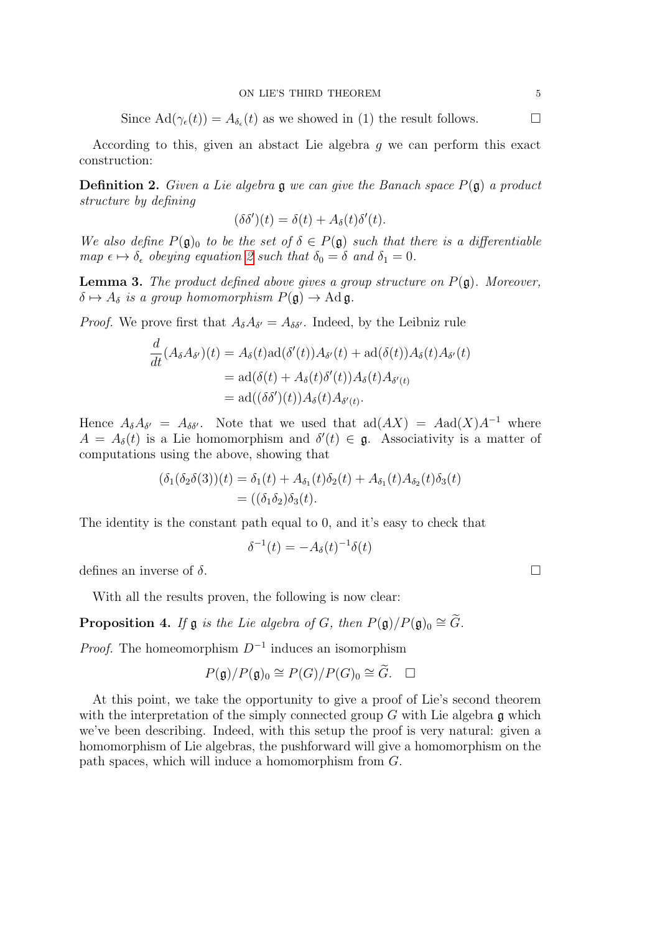Since  $\text{Ad}(\gamma_{\epsilon}(t)) = A_{\delta_{\epsilon}}(t)$  as we showed in (1) the result follows.

According to this, given an abstact Lie algebra g we can perform this exact construction:

<span id="page-4-0"></span>**Definition 2.** Given a Lie algebra  $\mathfrak g$  we can give the Banach space  $P(\mathfrak g)$  a product structure by defining

$$
(\delta \delta')(t) = \delta(t) + A_{\delta}(t)\delta'(t).
$$

We also define  $P(\mathfrak{g})_0$  to be the set of  $\delta \in P(\mathfrak{g})$  such that there is a differentiable map  $\epsilon \mapsto \delta_{\epsilon}$  obeying equation [2](#page-4-0) such that  $\delta_0 = \delta$  and  $\delta_1 = 0$ .

<span id="page-4-2"></span>**Lemma 3.** The product defined above gives a group structure on  $P(\mathfrak{g})$ . Moreover,  $\delta \mapsto A_{\delta}$  is a group homomorphism  $P(\mathfrak{g}) \to \mathrm{Ad} \mathfrak{g}.$ 

*Proof.* We prove first that  $A_{\delta}A_{\delta'} = A_{\delta\delta'}$ . Indeed, by the Leibniz rule

$$
\frac{d}{dt}(A_{\delta}A_{\delta'})(t) = A_{\delta}(t)ad(\delta'(t))A_{\delta'}(t) + ad(\delta(t))A_{\delta}(t)A_{\delta'}(t)
$$
\n
$$
= ad(\delta(t) + A_{\delta}(t)\delta'(t))A_{\delta}(t)A_{\delta'(t)}
$$
\n
$$
= ad((\delta\delta')(t))A_{\delta}(t)A_{\delta'(t)}.
$$

Hence  $A_{\delta}A_{\delta'} = A_{\delta\delta'}$ . Note that we used that  $\text{ad}(AX) = \text{Aad}(X)A^{-1}$  where  $A = A_{\delta}(t)$  is a Lie homomorphism and  $\delta'(t) \in \mathfrak{g}$ . Associativity is a matter of computations using the above, showing that

$$
(\delta_1(\delta_2\delta(3))(t) = \delta_1(t) + A_{\delta_1}(t)\delta_2(t) + A_{\delta_1}(t)A_{\delta_2}(t)\delta_3(t)
$$
  
= 
$$
((\delta_1\delta_2)\delta_3(t).
$$

The identity is the constant path equal to 0, and it's easy to check that

$$
\delta^{-1}(t) = -A_{\delta}(t)^{-1}\delta(t)
$$

defines an inverse of  $\delta$ .

With all the results proven, the following is now clear:

<span id="page-4-1"></span>**Proposition 4.** If  $\mathfrak g$  is the Lie algebra of G, then  $P(\mathfrak g)/P(\mathfrak g)_0 \cong \widetilde{G}$ .

*Proof.* The homeomorphism  $D^{-1}$  induces an isomorphism

$$
P(\mathfrak{g})/P(\mathfrak{g})_0 \cong P(G)/P(G)_0 \cong \widetilde{G}.\quad \Box
$$

At this point, we take the opportunity to give a proof of Lie's second theorem with the interpretation of the simply connected group  $G$  with Lie algebra  $\mathfrak g$  which we've been describing. Indeed, with this setup the proof is very natural: given a homomorphism of Lie algebras, the pushforward will give a homomorphism on the path spaces, which will induce a homomorphism from G.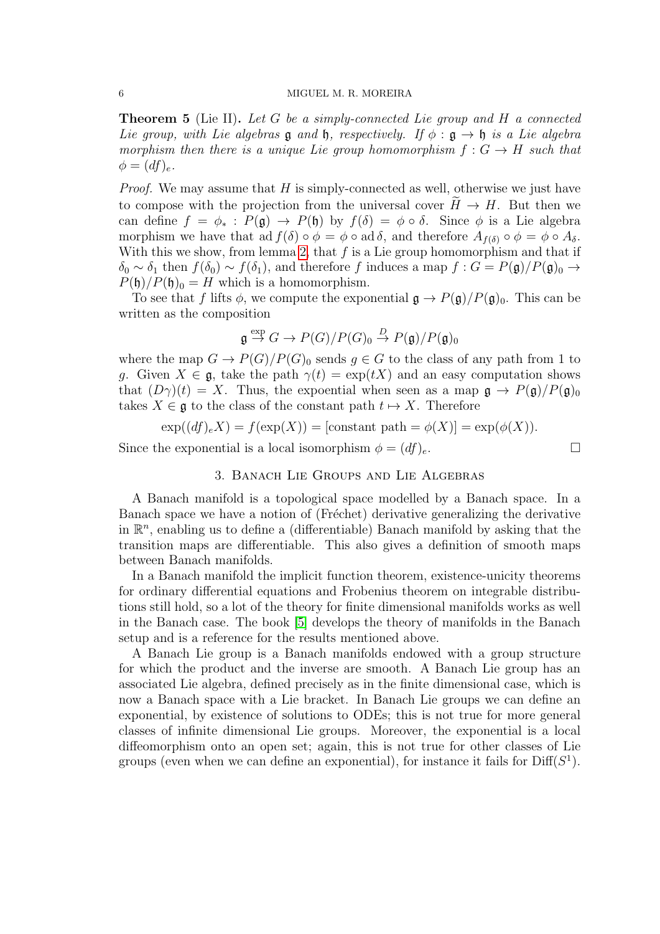**Theorem 5** (Lie II). Let G be a simply-connected Lie group and H a connected Lie group, with Lie algebras g and h, respectively. If  $\phi : \mathfrak{g} \to \mathfrak{h}$  is a Lie algebra morphism then there is a unique Lie group homomorphism  $f: G \to H$  such that  $\phi = (df)_e.$ 

*Proof.* We may assume that  $H$  is simply-connected as well, otherwise we just have to compose with the projection from the universal cover  $H \to H$ . But then we can define  $f = \phi_* : P(\mathfrak{g}) \to P(\mathfrak{h})$  by  $f(\delta) = \phi \circ \delta$ . Since  $\phi$  is a Lie algebra morphism we have that ad  $f(\delta) \circ \phi = \phi \circ \text{ad} \delta$ , and therefore  $A_{f(\delta)} \circ \phi = \phi \circ A_{\delta}$ . With this we show, from lemma [2,](#page-2-0) that  $f$  is a Lie group homomorphism and that if  $\delta_0 \sim \delta_1$  then  $f(\delta_0) \sim f(\delta_1)$ , and therefore f induces a map  $f : G = P(\mathfrak{g})/P(\mathfrak{g})_0 \to$  $P(\mathfrak{h})/P(\mathfrak{h})_0 = H$  which is a homomorphism.

To see that f lifts  $\phi$ , we compute the exponential  $\mathfrak{g} \to P(\mathfrak{g})/P(\mathfrak{g})_0$ . This can be written as the composition

$$
\mathfrak{g} \stackrel{\exp}{\to} G \to P(G)/P(G)_0 \stackrel{D}{\to} P(\mathfrak{g})/P(\mathfrak{g})_0
$$

where the map  $G \to P(G)/P(G)$  sends  $q \in G$  to the class of any path from 1 to g. Given  $X \in \mathfrak{g}$ , take the path  $\gamma(t) = \exp(tX)$  and an easy computation shows that  $(D\gamma)(t) = X$ . Thus, the expoential when seen as a map  $\mathfrak{g} \to P(\mathfrak{g})/P(\mathfrak{g})_0$ takes  $X \in \mathfrak{g}$  to the class of the constant path  $t \mapsto X$ . Therefore

 $\exp((df)_e X) = f(\exp(X)) = [\text{constant path} = \phi(X)] = \exp(\phi(X)).$ 

Since the exponential is a local isomorphism  $\phi = (df)_e$ .

## 3. Banach Lie Groups and Lie Algebras

A Banach manifold is a topological space modelled by a Banach space. In a Banach space we have a notion of (Fréchet) derivative generalizing the derivative in  $\mathbb{R}^n$ , enabling us to define a (differentiable) Banach manifold by asking that the transition maps are differentiable. This also gives a definition of smooth maps between Banach manifolds.

In a Banach manifold the implicit function theorem, existence-unicity theorems for ordinary differential equations and Frobenius theorem on integrable distributions still hold, so a lot of the theory for finite dimensional manifolds works as well in the Banach case. The book [\[5\]](#page-13-4) develops the theory of manifolds in the Banach setup and is a reference for the results mentioned above.

A Banach Lie group is a Banach manifolds endowed with a group structure for which the product and the inverse are smooth. A Banach Lie group has an associated Lie algebra, defined precisely as in the finite dimensional case, which is now a Banach space with a Lie bracket. In Banach Lie groups we can define an exponential, by existence of solutions to ODEs; this is not true for more general classes of infinite dimensional Lie groups. Moreover, the exponential is a local diffeomorphism onto an open set; again, this is not true for other classes of Lie groups (even when we can define an exponential), for instance it fails for  $\text{Diff}(S^1)$ .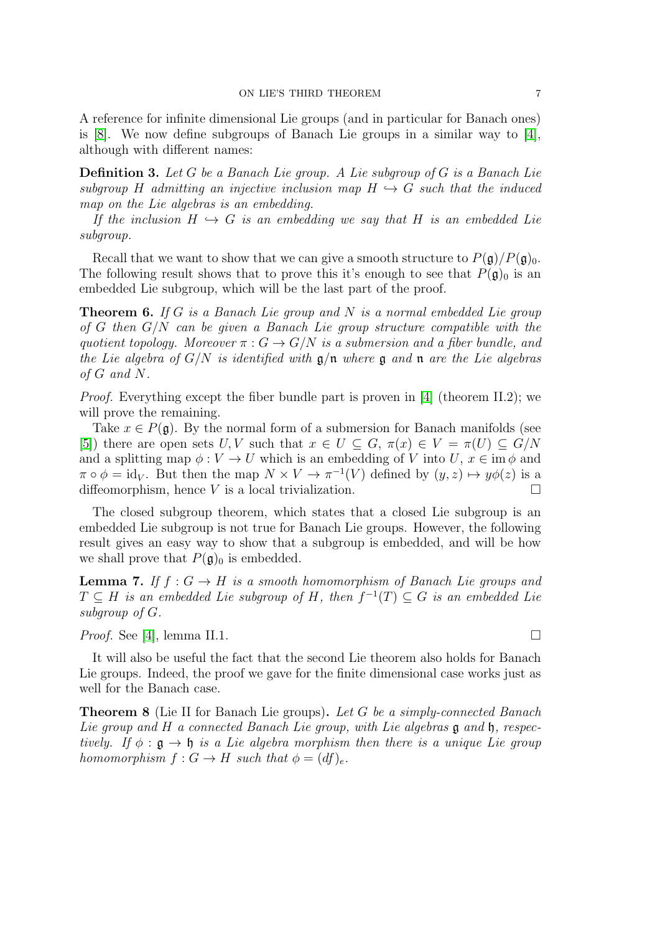A reference for infinite dimensional Lie groups (and in particular for Banach ones) is  $[8]$ . We now define subgroups of Banach Lie groups in a similar way to  $[4]$ , although with different names:

**Definition 3.** Let G be a Banach Lie group. A Lie subgroup of G is a Banach Lie subgroup H admitting an injective inclusion map  $H \hookrightarrow G$  such that the induced map on the Lie algebras is an embedding.

If the inclusion  $H \hookrightarrow G$  is an embedding we say that H is an embedded Lie subgroup.

Recall that we want to show that we can give a smooth structure to  $P(\mathfrak{g})/P(\mathfrak{g})_0$ . The following result shows that to prove this it's enough to see that  $P(\mathfrak{g})_0$  is an embedded Lie subgroup, which will be the last part of the proof.

<span id="page-6-0"></span>**Theorem 6.** If G is a Banach Lie group and N is a normal embedded Lie group of G then  $G/N$  can be given a Banach Lie group structure compatible with the quotient topology. Moreover  $\pi : G \to G/N$  is a submersion and a fiber bundle, and the Lie algebra of  $G/N$  is identified with  $\mathfrak{g}/\mathfrak{n}$  where  $\mathfrak{g}$  and  $\mathfrak{n}$  are the Lie algebras of G and N.

*Proof.* Everything except the fiber bundle part is proven in [\[4\]](#page-13-1) (theorem II.2); we will prove the remaining.

Take  $x \in P(\mathfrak{g})$ . By the normal form of a submersion for Banach manifolds (see [\[5\]](#page-13-4)) there are open sets U, V such that  $x \in U \subseteq G$ ,  $\pi(x) \in V = \pi(U) \subseteq G/N$ and a splitting map  $\phi: V \to U$  which is an embedding of V into U,  $x \in \text{im } \phi$  and  $\pi \circ \phi = id_V$ . But then the map  $N \times V \to \pi^{-1}(V)$  defined by  $(y, z) \mapsto y\phi(z)$  is a diffeomorphism, hence V is a local trivialization.  $\Box$ 

The closed subgroup theorem, which states that a closed Lie subgroup is an embedded Lie subgroup is not true for Banach Lie groups. However, the following result gives an easy way to show that a subgroup is embedded, and will be how we shall prove that  $P(\mathfrak{g})_0$  is embedded.

<span id="page-6-1"></span>**Lemma 7.** If  $f: G \to H$  is a smooth homomorphism of Banach Lie groups and  $T \subseteq H$  is an embedded Lie subgroup of H, then  $f^{-1}(T) \subseteq G$  is an embedded Lie subgroup of G.

*Proof.* See [\[4\]](#page-13-1), lemma II.1.

It will also be useful the fact that the second Lie theorem also holds for Banach Lie groups. Indeed, the proof we gave for the finite dimensional case works just as well for the Banach case.

**Theorem 8** (Lie II for Banach Lie groups). Let G be a simply-connected Banach Lie group and H a connected Banach Lie group, with Lie algebras  $\mathfrak g$  and  $\mathfrak h$ , respectively. If  $\phi : \mathfrak{g} \to \mathfrak{h}$  is a Lie algebra morphism then there is a unique Lie group homomorphism  $f: G \to H$  such that  $\phi = (df)_e$ .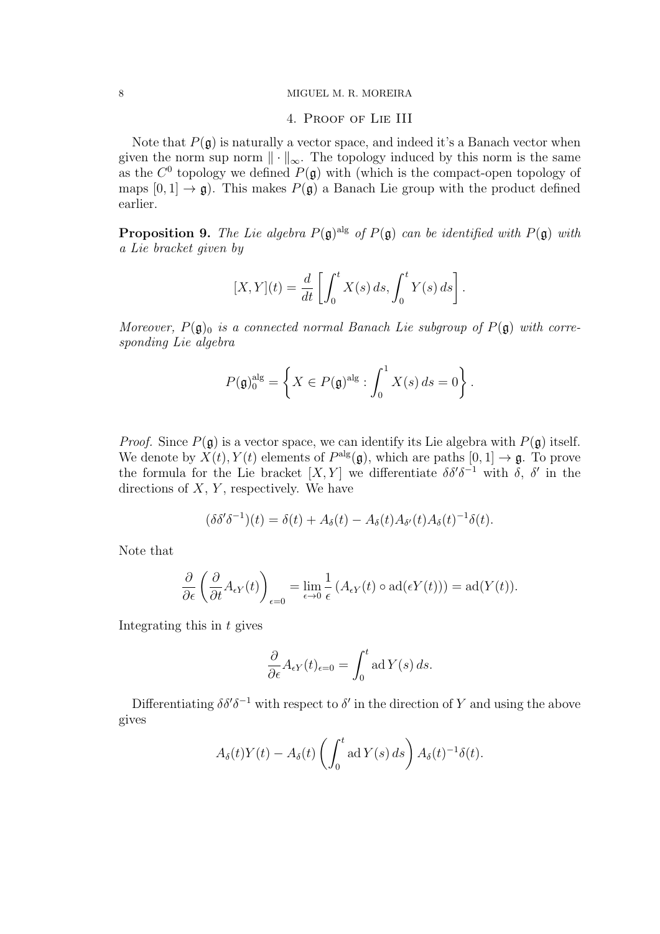## 4. Proof of Lie III

Note that  $P(g)$  is naturally a vector space, and indeed it's a Banach vector when given the norm sup norm  $\|\cdot\|_{\infty}$ . The topology induced by this norm is the same as the  $C^0$  topology we defined  $P(\mathfrak{g})$  with (which is the compact-open topology of maps  $[0, 1] \rightarrow \mathfrak{g}$ . This makes  $P(\mathfrak{g})$  a Banach Lie group with the product defined earlier.

<span id="page-7-0"></span>**Proposition 9.** The Lie algebra  $P(\mathfrak{g})^{\text{alg}}$  of  $P(\mathfrak{g})$  can be identified with  $P(\mathfrak{g})$  with a Lie bracket given by

$$
[X,Y](t) = \frac{d}{dt} \left[ \int_0^t X(s) \, ds, \int_0^t Y(s) \, ds \right].
$$

Moreover,  $P(\mathfrak{g})_0$  is a connected normal Banach Lie subgroup of  $P(\mathfrak{g})$  with corresponding Lie algebra

$$
P(\mathfrak{g})_0^{\text{alg}} = \left\{ X \in P(\mathfrak{g})^{\text{alg}} : \int_0^1 X(s) \, ds = 0 \right\}.
$$

*Proof.* Since  $P(\mathfrak{g})$  is a vector space, we can identify its Lie algebra with  $P(\mathfrak{g})$  itself. We denote by  $X(t)$ ,  $Y(t)$  elements of  $P^{alg}(\mathfrak{g})$ , which are paths  $[0, 1] \rightarrow \mathfrak{g}$ . To prove the formula for the Lie bracket  $[X, Y]$  we differentiate  $\delta \delta' \delta^{-1}$  with  $\delta$ ,  $\delta'$  in the directions of  $X, Y$ , respectively. We have

$$
(\delta \delta' \delta^{-1})(t) = \delta(t) + A_{\delta}(t) - A_{\delta}(t) A_{\delta'}(t) A_{\delta}(t)^{-1} \delta(t).
$$

Note that

$$
\frac{\partial}{\partial \epsilon} \left( \frac{\partial}{\partial t} A_{\epsilon Y}(t) \right)_{\epsilon=0} = \lim_{\epsilon \to 0} \frac{1}{\epsilon} \left( A_{\epsilon Y}(t) \circ \mathrm{ad}(\epsilon Y(t)) \right) = \mathrm{ad}(Y(t)).
$$

Integrating this in  $t$  gives

$$
\frac{\partial}{\partial \epsilon} A_{\epsilon Y}(t)_{\epsilon=0} = \int_0^t \operatorname{ad} Y(s) \, ds.
$$

Differentiating  $\delta \delta' \delta^{-1}$  with respect to  $\delta'$  in the direction of Y and using the above gives

$$
A_{\delta}(t)Y(t) - A_{\delta}(t)\left(\int_0^t \mathrm{ad}\,Y(s)\,ds\right)A_{\delta}(t)^{-1}\delta(t).
$$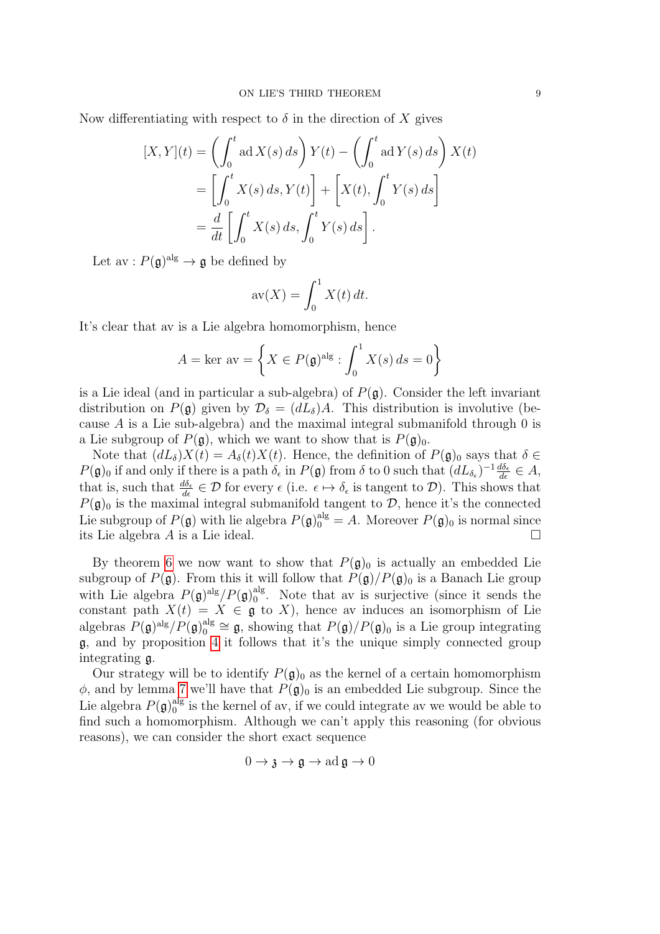Now differentiating with respect to  $\delta$  in the direction of X gives

$$
[X,Y](t) = \left(\int_0^t \mathrm{ad}\,X(s)\,ds\right)Y(t) - \left(\int_0^t \mathrm{ad}\,Y(s)\,ds\right)X(t)
$$

$$
= \left[\int_0^t X(s)\,ds, Y(t)\right] + \left[X(t), \int_0^t Y(s)\,ds\right]
$$

$$
= \frac{d}{dt}\left[\int_0^t X(s)\,ds, \int_0^t Y(s)\,ds\right].
$$

Let  $\mathrm{av}: P(\mathfrak{g})^{\mathrm{alg}} \to \mathfrak{g}$  be defined by

$$
av(X) = \int_0^1 X(t) dt.
$$

It's clear that av is a Lie algebra homomorphism, hence

$$
A = \ker \, \text{av} = \left\{ X \in P(\mathfrak{g})^{\text{alg}} : \int_0^1 X(s) \, ds = 0 \right\}
$$

is a Lie ideal (and in particular a sub-algebra) of  $P(\mathfrak{g})$ . Consider the left invariant distribution on  $P(\mathfrak{g})$  given by  $\mathcal{D}_{\delta} = (dL_{\delta})A$ . This distribution is involutive (because A is a Lie sub-algebra) and the maximal integral submanifold through  $0$  is a Lie subgroup of  $P(\mathfrak{g})$ , which we want to show that is  $P(\mathfrak{g})_0$ .

Note that  $(dL_{\delta})X(t) = A_{\delta}(t)X(t)$ . Hence, the definition of  $P(\mathfrak{g})_0$  says that  $\delta \in$  $P(\mathfrak{g})_0$  if and only if there is a path  $\delta_{\epsilon}$  in  $P(\mathfrak{g})$  from  $\delta$  to 0 such that  $(dL_{\delta_{\epsilon}})^{-1}\frac{d\delta_{\epsilon}}{d\epsilon} \in A$ , that is, such that  $\frac{d\delta_{\epsilon}}{d\epsilon} \in \mathcal{D}$  for every  $\epsilon$  (i.e.  $\epsilon \mapsto \delta_{\epsilon}$  is tangent to  $\mathcal{D}$ ). This shows that  $P(\mathfrak{g})_0$  is the maximal integral submanifold tangent to  $\mathcal{D}$ , hence it's the connected Lie subgroup of  $P(\mathfrak{g})$  with lie algebra  $P(\mathfrak{g})_0^{\text{alg}} = A$ . Moreover  $P(\mathfrak{g})_0$  is normal since its Lie algebra A is a Lie ideal.

By theorem [6](#page-6-0) we now want to show that  $P(\mathfrak{g})_0$  is actually an embedded Lie subgroup of  $P(\mathfrak{g})$ . From this it will follow that  $P(\mathfrak{g})/P(\mathfrak{g})_0$  is a Banach Lie group with Lie algebra  $P(\mathfrak{g})^{\text{alg}}/P(\mathfrak{g})_0^{\text{alg}}$  $_{0}^{\text{aug}}$ . Note that av is surjective (since it sends the constant path  $X(t) = X \in \mathfrak{g}$  to X), hence av induces an isomorphism of Lie algebras  $P(\mathfrak{g})^{\text{alg}}/P(\mathfrak{g})_0^{\text{alg}}$  $Q_0^{\text{alg}} \cong \mathfrak{g}$ , showing that  $P(\mathfrak{g})/P(\mathfrak{g})$  is a Lie group integrating g, and by proposition [4](#page-4-1) it follows that it's the unique simply connected group integrating g.

Our strategy will be to identify  $P(\mathfrak{g})_0$  as the kernel of a certain homomorphism  $\phi$ , and by lemma [7](#page-6-1) we'll have that  $P(\mathfrak{g})_0$  is an embedded Lie subgroup. Since the Lie algebra  $P(\mathfrak{g})_0^{\text{alg}}$  $_{0}^{\text{alg}}$  is the kernel of av, if we could integrate av we would be able to find such a homomorphism. Although we can't apply this reasoning (for obvious reasons), we can consider the short exact sequence

$$
0\to \mathfrak{z}\to \mathfrak{g}\to \mathrm{ad}\,\mathfrak{g}\to 0
$$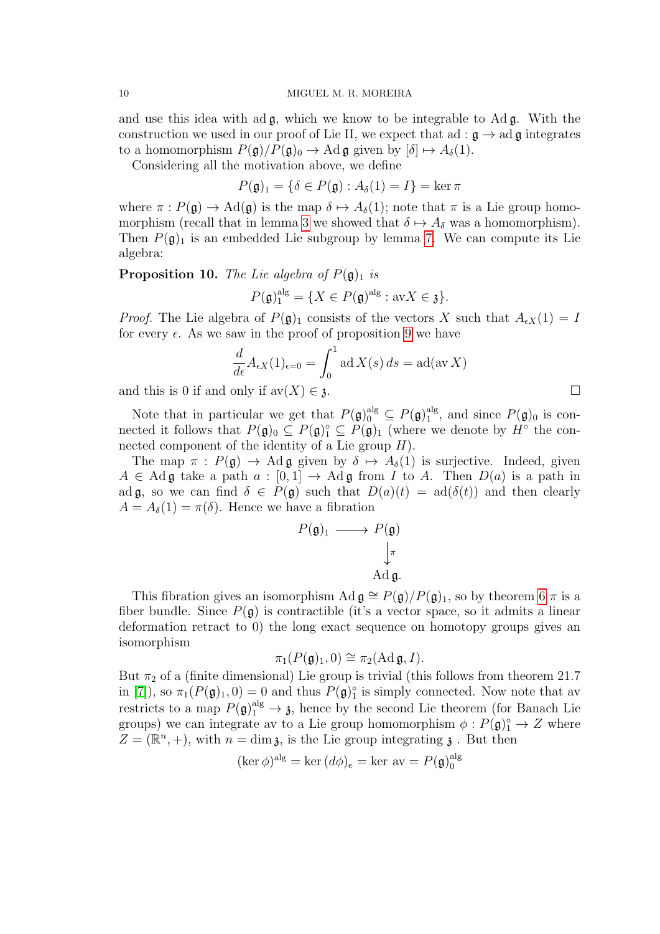and use this idea with ad  $\mathfrak{g}$ , which we know to be integrable to Ad  $\mathfrak{g}$ . With the construction we used in our proof of Lie II, we expect that ad :  $\mathfrak{g} \to \text{ad } \mathfrak{g}$  integrates to a homomorphism  $P(\mathfrak{g})/P(\mathfrak{g})_0 \to \text{Ad } \mathfrak{g}$  given by  $[\delta] \mapsto A_\delta(1)$ .

Considering all the motivation above, we define

$$
P(\mathfrak{g})_1 = \{ \delta \in P(\mathfrak{g}) : A_{\delta}(1) = I \} = \ker \pi
$$

where  $\pi : P(\mathfrak{g}) \to \text{Ad}(\mathfrak{g})$  is the map  $\delta \mapsto A_{\delta}(1)$ ; note that  $\pi$  is a Lie group homo-morphism (recall that in lemma [3](#page-4-2) we showed that  $\delta \mapsto A_{\delta}$  was a homomorphism). Then  $P(\mathfrak{g})_1$  is an embedded Lie subgroup by lemma [7.](#page-6-1) We can compute its Lie algebra:

**Proposition 10.** The Lie algebra of  $P(\mathfrak{g})_1$  is

$$
P(\mathfrak{g})_1^{\text{alg}} = \{ X \in P(\mathfrak{g})^{\text{alg}} : \text{av} X \in \mathfrak{z} \}.
$$

*Proof.* The Lie algebra of  $P(\mathfrak{g})_1$  consists of the vectors X such that  $A_{\epsilon X}(1) = I$ for every  $\epsilon$ . As we saw in the proof of proposition [9](#page-7-0) we have

$$
\frac{d}{d\epsilon}A_{\epsilon X}(1)_{\epsilon=0} = \int_0^1 \operatorname{ad} X(s) \, ds = \operatorname{ad}(\operatorname{av} X)
$$

and this is 0 if and only if  $\text{av}(X) \in \mathfrak{z}$ .

Note that in particular we get that  $P(\mathfrak{g})_0^{\text{alg}} \subseteq P(\mathfrak{g})_1^{\text{alg}}$  $_1^{\text{aug}}$ , and since  $P(\mathfrak{g})_0$  is connected it follows that  $P(\mathfrak{g})_0 \subseteq P(\mathfrak{g})_1 \subseteq P(\mathfrak{g})_1$  (where we denote by  $H^{\circ}$  the connected component of the identity of a Lie group  $H$ ).

The map  $\pi$ :  $P(\mathfrak{g}) \to \text{Ad}\,\mathfrak{g}$  given by  $\delta \mapsto A_\delta(1)$  is surjective. Indeed, given  $A \in \text{Ad}\mathfrak{g}$  take a path  $a : [0,1] \to \text{Ad}\mathfrak{g}$  from I to A. Then  $D(a)$  is a path in ad g, so we can find  $\delta \in P(\mathfrak{g})$  such that  $D(a)(t) = \text{ad}(\delta(t))$  and then clearly  $A = A_{\delta}(1) = \pi(\delta)$ . Hence we have a fibration

$$
P(\mathfrak{g})_1 \longrightarrow P(\mathfrak{g})
$$

$$
\downarrow_{\pi}
$$

$$
\downarrow_{\pi}
$$

$$
\text{Ad}\,\mathfrak{g}.
$$

This fibration gives an isomorphism Ad  $\mathfrak{g} \cong P(\mathfrak{g})/P(\mathfrak{g})_1$ , so by theorem [6](#page-6-0)  $\pi$  is a fiber bundle. Since  $P(\mathfrak{g})$  is contractible (it's a vector space, so it admits a linear deformation retract to 0) the long exact sequence on homotopy groups gives an isomorphism

$$
\pi_1(P(\mathfrak{g})_1,0) \cong \pi_2(\operatorname{Ad} \mathfrak{g}, I).
$$

But  $\pi_2$  of a (finite dimensional) Lie group is trivial (this follows from theorem 21.7 in [\[7\]](#page-13-6)), so  $\pi_1(P(\mathfrak{g})_1, 0) = 0$  and thus  $P(\mathfrak{g})_1^{\circ}$  is simply connected. Now note that av restricts to a map  $P(\mathfrak{g})_1^{\text{alg}} \to \mathfrak{z}$ , hence by the second Lie theorem (for Banach Lie groups) we can integrate av to a Lie group homomorphism  $\phi: P(\mathfrak{g})_1^{\circ} \to Z$  where  $Z = (\mathbb{R}^n, +)$ , with  $n = \dim \mathfrak{z}$ , is the Lie group integrating  $\mathfrak{z}$ . But then

$$
(\ker \phi)^{alg} = \ker (d\phi)_e = \ker av = P(\mathfrak{g})_0^{alg}
$$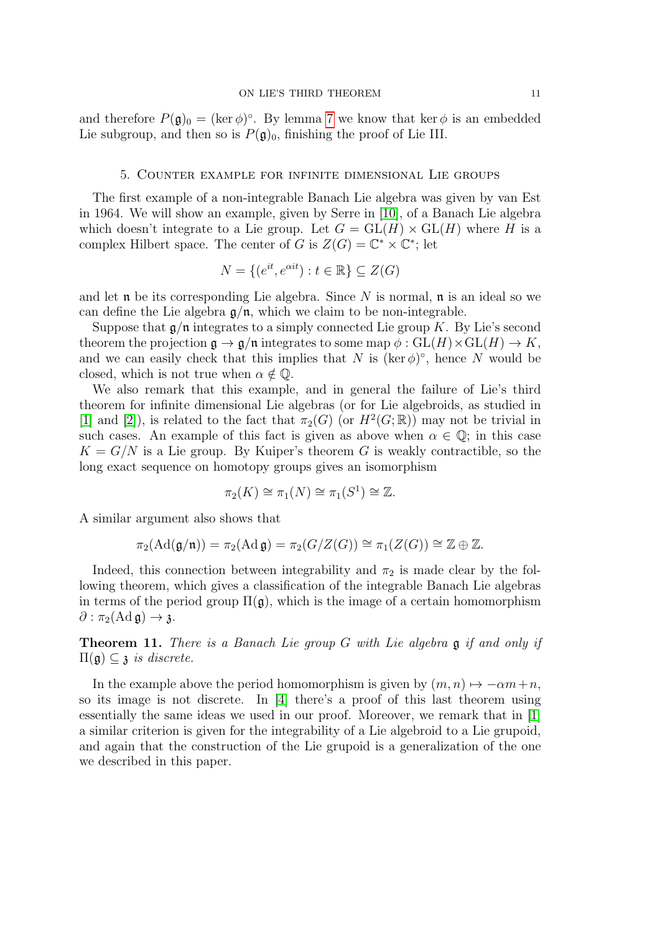and therefore  $P(\mathfrak{g})_0 = (\ker \phi)^\circ$ . By lemma [7](#page-6-1) we know that ker  $\phi$  is an embedded Lie subgroup, and then so is  $P(\mathfrak{g})_0$ , finishing the proof of Lie III.

## 5. Counter example for infinite dimensional Lie groups

The first example of a non-integrable Banach Lie algebra was given by van Est in 1964. We will show an example, given by Serre in [\[10\]](#page-13-7), of a Banach Lie algebra which doesn't integrate to a Lie group. Let  $G = GL(H) \times GL(H)$  where H is a complex Hilbert space. The center of G is  $Z(G) = \mathbb{C}^* \times \mathbb{C}^*$ ; let

$$
N = \{ (e^{it}, e^{\alpha it}) : t \in \mathbb{R} \} \subseteq Z(G)
$$

and let  $\mathfrak n$  be its corresponding Lie algebra. Since N is normal,  $\mathfrak n$  is an ideal so we can define the Lie algebra  $\mathfrak{g}/\mathfrak{n}$ , which we claim to be non-integrable.

Suppose that  $\mathfrak{g}/\mathfrak{n}$  integrates to a simply connected Lie group K. By Lie's second theorem the projection  $\mathfrak{g} \to \mathfrak{g}/\mathfrak{n}$  integrates to some map  $\phi : GL(H) \times GL(H) \to K$ , and we can easily check that this implies that N is (ker  $\phi$ )°, hence N would be closed, which is not true when  $\alpha \notin \mathbb{Q}$ .

We also remark that this example, and in general the failure of Lie's third theorem for infinite dimensional Lie algebras (or for Lie algebroids, as studied in [\[1\]](#page-13-2) and [\[2\]](#page-13-3)), is related to the fact that  $\pi_2(G)$  (or  $H^2(G; \mathbb{R})$ ) may not be trivial in such cases. An example of this fact is given as above when  $\alpha \in \mathbb{Q}$ ; in this case  $K = G/N$  is a Lie group. By Kuiper's theorem G is weakly contractible, so the long exact sequence on homotopy groups gives an isomorphism

$$
\pi_2(K) \cong \pi_1(N) \cong \pi_1(S^1) \cong \mathbb{Z}.
$$

A similar argument also shows that

$$
\pi_2(\text{Ad}(\mathfrak{g}/\mathfrak{n})) = \pi_2(\text{Ad} \,\mathfrak{g}) = \pi_2(G/Z(G)) \cong \pi_1(Z(G)) \cong \mathbb{Z} \oplus \mathbb{Z}.
$$

Indeed, this connection between integrability and  $\pi_2$  is made clear by the following theorem, which gives a classification of the integrable Banach Lie algebras in terms of the period group  $\Pi(\mathfrak{g})$ , which is the image of a certain homomorphism  $\partial$  :  $\pi_2(\text{Ad } \mathfrak{g}) \to \mathfrak{z}.$ 

Theorem 11. There is a Banach Lie group G with Lie algebra g if and only if  $\Pi(\mathfrak{g}) \subseteq \mathfrak{z}$  is discrete.

In the example above the period homomorphism is given by  $(m, n) \mapsto -\alpha m+n$ , so its image is not discrete. In [\[4\]](#page-13-1) there's a proof of this last theorem using essentially the same ideas we used in our proof. Moreover, we remark that in [\[1\]](#page-13-2) a similar criterion is given for the integrability of a Lie algebroid to a Lie grupoid, and again that the construction of the Lie grupoid is a generalization of the one we described in this paper.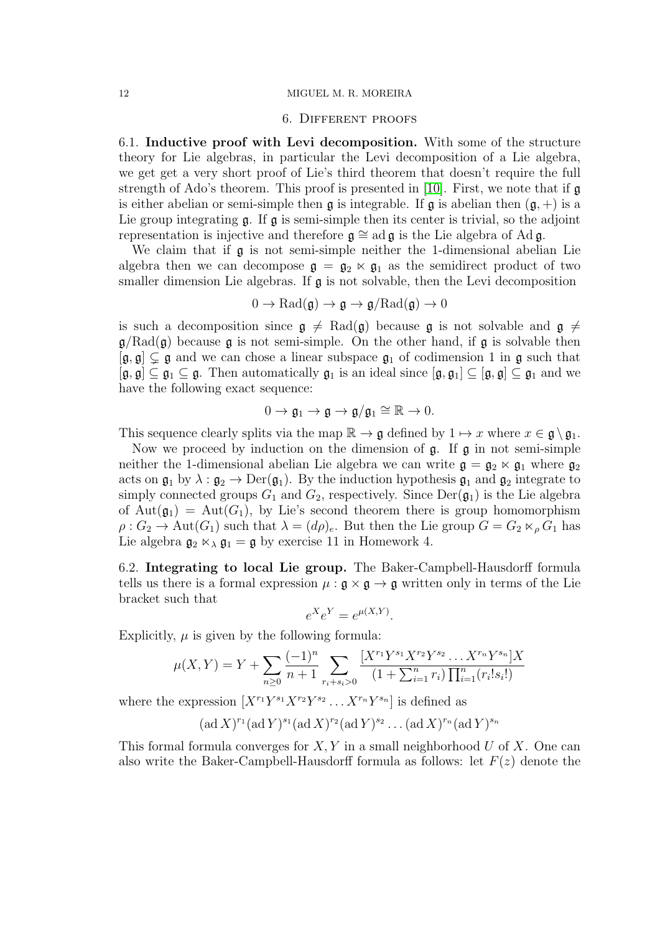### 6. Different proofs

6.1. Inductive proof with Levi decomposition. With some of the structure theory for Lie algebras, in particular the Levi decomposition of a Lie algebra, we get get a very short proof of Lie's third theorem that doesn't require the full strength of Ado's theorem. This proof is presented in [\[10\]](#page-13-7). First, we note that if  $\mathfrak a$ is either abelian or semi-simple then  $\mathfrak g$  is integrable. If  $\mathfrak g$  is abelian then  $(\mathfrak g,+)$  is a Lie group integrating  $\mathfrak g$ . If  $\mathfrak g$  is semi-simple then its center is trivial, so the adjoint representation is injective and therefore  $\mathfrak{g} \cong ad \mathfrak{g}$  is the Lie algebra of Ad g.

We claim that if  $\mathfrak g$  is not semi-simple neither the 1-dimensional abelian Lie algebra then we can decompose  $\mathfrak{g} = \mathfrak{g}_2 \ltimes \mathfrak{g}_1$  as the semidirect product of two smaller dimension Lie algebras. If  $\mathfrak g$  is not solvable, then the Levi decomposition

$$
0 \to \mathrm{Rad}(\mathfrak{g}) \to \mathfrak{g} \to \mathfrak{g}/\mathrm{Rad}(\mathfrak{g}) \to 0
$$

is such a decomposition since  $g \neq \text{Rad}(g)$  because g is not solvable and  $g \neq$  $g/Rad(g)$  because g is not semi-simple. On the other hand, if g is solvable then  $[g, \mathfrak{g}] \subsetneq \mathfrak{g}$  and we can chose a linear subspace  $\mathfrak{g}_1$  of codimension 1 in  $\mathfrak{g}$  such that  $[\mathfrak{g}, \mathfrak{g}] \subseteq \mathfrak{g}_1 \subseteq \mathfrak{g}$ . Then automatically  $\mathfrak{g}_1$  is an ideal since  $[\mathfrak{g}, \mathfrak{g}_1] \subseteq [\mathfrak{g}, \mathfrak{g}] \subseteq \mathfrak{g}_1$  and we have the following exact sequence:

$$
0\to \mathfrak{g}_1\to \mathfrak{g}\to \mathfrak{g}/\mathfrak{g}_1\cong \mathbb{R}\to 0.
$$

This sequence clearly splits via the map  $\mathbb{R} \to \mathfrak{g}$  defined by  $1 \mapsto x$  where  $x \in \mathfrak{g} \setminus \mathfrak{g}_1$ .

Now we proceed by induction on the dimension of  $\mathfrak{g}$ . If  $\mathfrak{g}$  in not semi-simple neither the 1-dimensional abelian Lie algebra we can write  $\mathfrak{g} = \mathfrak{g}_2 \ltimes \mathfrak{g}_1$  where  $\mathfrak{g}_2$ acts on  $\mathfrak{g}_1$  by  $\lambda : \mathfrak{g}_2 \to \text{Der}(\mathfrak{g}_1)$ . By the induction hypothesis  $\mathfrak{g}_1$  and  $\mathfrak{g}_2$  integrate to simply connected groups  $G_1$  and  $G_2$ , respectively. Since  $Der(\mathfrak{g}_1)$  is the Lie algebra of Aut $(\mathfrak{g}_1)$  = Aut $(G_1)$ , by Lie's second theorem there is group homomorphism  $\rho: G_2 \to \text{Aut}(G_1)$  such that  $\lambda = (d\rho)_e$ . But then the Lie group  $G = G_2 \ltimes_{\rho} G_1$  has Lie algebra  $\mathfrak{g}_2 \ltimes_{\lambda} \mathfrak{g}_1 = \mathfrak{g}$  by exercise 11 in Homework 4.

6.2. Integrating to local Lie group. The Baker-Campbell-Hausdorff formula tells us there is a formal expression  $\mu : \mathfrak{g} \times \mathfrak{g} \to \mathfrak{g}$  written only in terms of the Lie bracket such that

$$
e^X e^Y = e^{\mu(X,Y)}.
$$

Explicitly,  $\mu$  is given by the following formula:

$$
\mu(X,Y) = Y + \sum_{n\geq 0} \frac{(-1)^n}{n+1} \sum_{r_i+s_i>0} \frac{[X^{r_1}Y^{s_1}X^{r_2}Y^{s_2}\dots X^{r_n}Y^{s_n}]}{(1+\sum_{i=1}^n r_i) \prod_{i=1}^n (r_i!s_i!)}
$$

where the expression  $[X^{r_1}Y^{s_1}X^{r_2}Y^{s_2}\ldots X^{r_n}Y^{s_n}]$  is defined as

$$
(\mathrm{ad}\,X)^{r_1}(\mathrm{ad}\,Y)^{s_1}(\mathrm{ad}\,X)^{r_2}(\mathrm{ad}\,Y)^{s_2}\dots(\mathrm{ad}\,X)^{r_n}(\mathrm{ad}\,Y)^{s_n}
$$

This formal formula converges for  $X, Y$  in a small neighborhood U of X. One can also write the Baker-Campbell-Hausdorff formula as follows: let  $F(z)$  denote the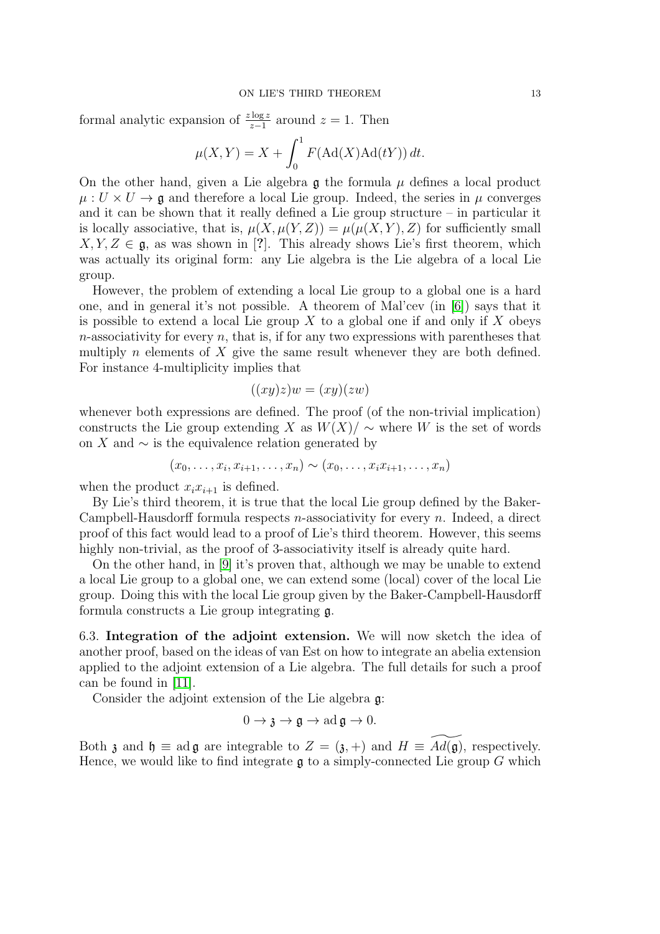formal analytic expansion of  $\frac{z \log z}{z-1}$  around  $z = 1$ . Then

$$
\mu(X, Y) = X + \int_0^1 F(\text{Ad}(X)\text{Ad}(tY)) dt.
$$

On the other hand, given a Lie algebra  $\mathfrak g$  the formula  $\mu$  defines a local product  $\mu: U \times U \rightarrow \mathfrak{g}$  and therefore a local Lie group. Indeed, the series in  $\mu$  converges and it can be shown that it really defined a Lie group structure – in particular it is locally associative, that is,  $\mu(X, \mu(Y, Z)) = \mu(\mu(X, Y), Z)$  for sufficiently small  $X, Y, Z \in \mathfrak{g}$ , as was shown in [?]. This already shows Lie's first theorem, which was actually its original form: any Lie algebra is the Lie algebra of a local Lie group.

However, the problem of extending a local Lie group to a global one is a hard one, and in general it's not possible. A theorem of Mal'cev (in [\[6\]](#page-13-8)) says that it is possible to extend a local Lie group  $X$  to a global one if and only if  $X$  obeys  $n$ -associativity for every  $n$ , that is, if for any two expressions with parentheses that multiply n elements of  $X$  give the same result whenever they are both defined. For instance 4-multiplicity implies that

$$
((xy)z)w = (xy)(zw)
$$

whenever both expressions are defined. The proof (of the non-trivial implication) constructs the Lie group extending X as  $W(X)/\sim$  where W is the set of words on X and  $\sim$  is the equivalence relation generated by

$$
(x_0,\ldots,x_i,x_{i+1},\ldots,x_n) \sim (x_0,\ldots,x_ix_{i+1},\ldots,x_n)
$$

when the product  $x_i x_{i+1}$  is defined.

By Lie's third theorem, it is true that the local Lie group defined by the Baker-Campbell-Hausdorff formula respects  $n$ -associativity for every  $n$ . Indeed, a direct proof of this fact would lead to a proof of Lie's third theorem. However, this seems highly non-trivial, as the proof of 3-associativity itself is already quite hard.

On the other hand, in [\[9\]](#page-13-9) it's proven that, although we may be unable to extend a local Lie group to a global one, we can extend some (local) cover of the local Lie group. Doing this with the local Lie group given by the Baker-Campbell-Hausdorff formula constructs a Lie group integrating g.

6.3. Integration of the adjoint extension. We will now sketch the idea of another proof, based on the ideas of van Est on how to integrate an abelia extension applied to the adjoint extension of a Lie algebra. The full details for such a proof can be found in [\[11\]](#page-13-10).

Consider the adjoint extension of the Lie algebra g:

$$
0 \to \mathfrak{z} \to \mathfrak{g} \to \mathrm{ad}\,\mathfrak{g} \to 0.
$$

Both  $\mathfrak z$  and  $\mathfrak h \equiv$  ad  $\mathfrak g$  are integrable to  $Z = (\mathfrak z, +)$  and  $H \equiv Ad(\mathfrak g)$ , respectively. Hence, we would like to find integrate  $\mathfrak g$  to a simply-connected Lie group G which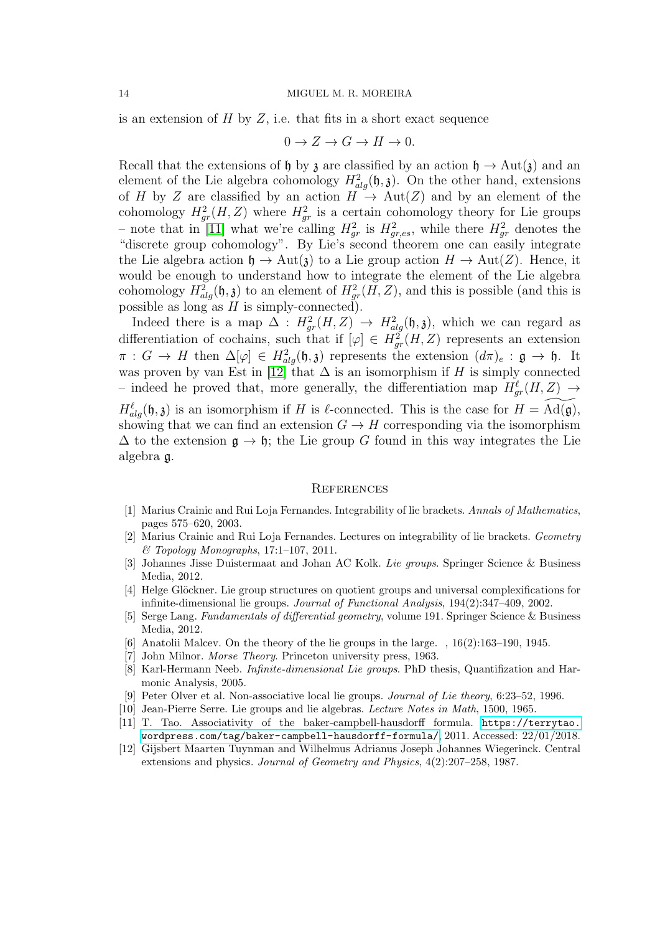is an extension of  $H$  by  $Z$ , i.e. that fits in a short exact sequence

$$
0 \to Z \to G \to H \to 0.
$$

Recall that the extensions of h by z are classified by an action  $h \to Aut(2)$  and an element of the Lie algebra cohomology  $H_{alg}^2(\mathfrak{h},\mathfrak{z})$ . On the other hand, extensions of H by Z are classified by an action  $H \to \text{Aut}(Z)$  and by an element of the cohomology  $H_{gr}^2(H, Z)$  where  $H_{gr}^2$  is a certain cohomology theory for Lie groups – note that in [\[11\]](#page-13-10) what we're calling  $H_{gr}^2$  is  $H_{gr,es}^2$ , while there  $H_{gr}^2$  denotes the "discrete group cohomology". By Lie's second theorem one can easily integrate the Lie algebra action  $\mathfrak{h} \to \text{Aut}(\mathfrak{z})$  to a Lie group action  $H \to \text{Aut}(Z)$ . Hence, it would be enough to understand how to integrate the element of the Lie algebra cohomology  $H^2_{alg}(\mathfrak{h},\mathfrak{z})$  to an element of  $H^2_{gr}(H,Z)$ , and this is possible (and this is possible as long as  $H$  is simply-connected).

Indeed there is a map  $\Delta$  :  $H_{gr}^2(H, Z) \rightarrow H_{alg}^2(\mathfrak{h}, \mathfrak{z})$ , which we can regard as differentiation of cochains, such that if  $[\varphi] \in H^2_{gr}(H, Z)$  represents an extension  $\pi: G \to H$  then  $\Delta[\varphi] \in H^2_{alg}(\mathfrak{h},\mathfrak{z})$  represents the extension  $(d\pi)_e: \mathfrak{g} \to \mathfrak{h}$ . It was proven by van Est in [\[12\]](#page-14-0) that  $\Delta$  is an isomorphism if H is simply connected – indeed he proved that, more generally, the differentiation map  $H^{\ell}_{gr}(H, Z) \rightarrow$ 

 $H^{\ell}_{alg}(\mathfrak{h},\mathfrak{z})$  is an isomorphism if H is  $\ell$ -connected. This is the case for  $H = \widetilde{\text{Ad}(\mathfrak{g})}$ , showing that we can find an extension  $G \to H$  corresponding via the isomorphism  $\Delta$  to the extension  $\mathfrak{g} \to \mathfrak{h}$ ; the Lie group G found in this way integrates the Lie algebra g.

#### **REFERENCES**

- <span id="page-13-2"></span>[1] Marius Crainic and Rui Loja Fernandes. Integrability of lie brackets. Annals of Mathematics, pages 575–620, 2003.
- <span id="page-13-3"></span>[2] Marius Crainic and Rui Loja Fernandes. Lectures on integrability of lie brackets. Geometry & Topology Monographs, 17:1–107, 2011.
- <span id="page-13-0"></span>[3] Johannes Jisse Duistermaat and Johan AC Kolk. Lie groups. Springer Science & Business Media, 2012.
- <span id="page-13-1"></span>[4] Helge Glöckner. Lie group structures on quotient groups and universal complexifications for infinite-dimensional lie groups. Journal of Functional Analysis, 194(2):347–409, 2002.
- <span id="page-13-4"></span>[5] Serge Lang. Fundamentals of differential geometry, volume 191. Springer Science & Business Media, 2012.
- <span id="page-13-8"></span>[6] Anatolii Malcev. On the theory of the lie groups in the large. , 16(2):163–190, 1945.
- <span id="page-13-6"></span>[7] John Milnor. *Morse Theory*. Princeton university press, 1963.
- <span id="page-13-5"></span>[8] Karl-Hermann Neeb. Infinite-dimensional Lie groups. PhD thesis, Quantifization and Harmonic Analysis, 2005.
- <span id="page-13-9"></span>[9] Peter Olver et al. Non-associative local lie groups. Journal of Lie theory, 6:23–52, 1996.
- <span id="page-13-7"></span>[10] Jean-Pierre Serre. Lie groups and lie algebras. Lecture Notes in Math, 1500, 1965.
- [11] T. Tao. Associativity of the baker-campbell-hausdorff formula. [https://terrytao.](https://terrytao.wordpress.com/tag/baker-campbell-hausdorff-formula/) [wordpress.com/tag/baker-campbell-hausdorff-formula/](https://terrytao.wordpress.com/tag/baker-campbell-hausdorff-formula/), 2011. Accessed: 22/01/2018.
- <span id="page-13-10"></span>[12] Gijsbert Maarten Tuynman and Wilhelmus Adrianus Joseph Johannes Wiegerinck. Central extensions and physics. Journal of Geometry and Physics, 4(2):207–258, 1987.